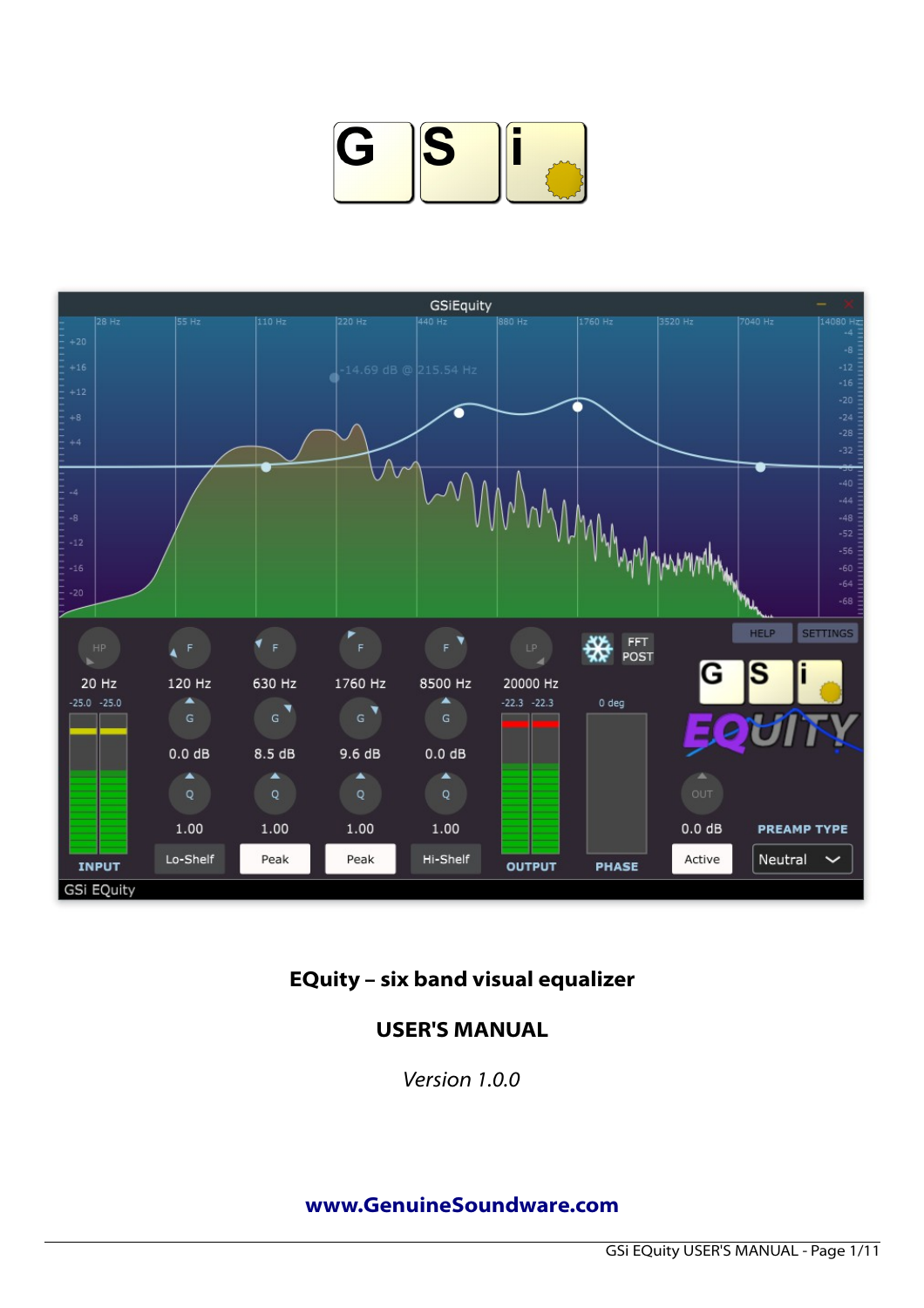



# **EQuity – six band visual equalizer**

## **USER'S MANUAL**

*Version 1.0.0*

#### **[www.GenuineSoundware.com](http://www.GenuineSoundware.com/)**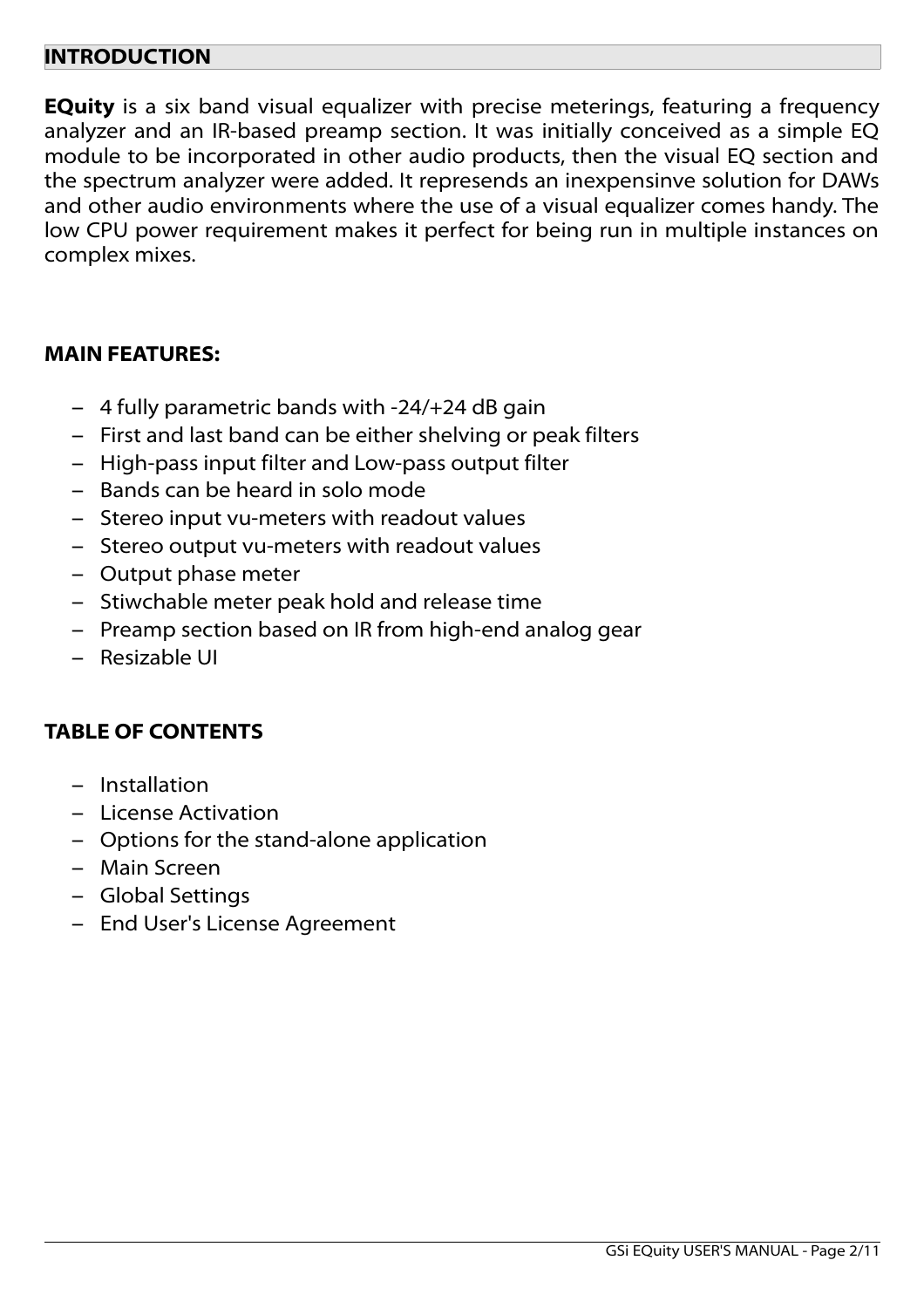### **INTRODUCTION**

**EQuity** is a six band visual equalizer with precise meterings, featuring a frequency analyzer and an IR-based preamp section. It was initially conceived as a simple EQ module to be incorporated in other audio products, then the visual EQ section and the spectrum analyzer were added. It represends an inexpensinve solution for DAWs and other audio environments where the use of a visual equalizer comes handy. The low CPU power requirement makes it perfect for being run in multiple instances on complex mixes.

#### **MAIN FEATURES:**

- 4 fully parametric bands with -24/+24 dB gain
- First and last band can be either shelving or peak filters
- High-pass input filter and Low-pass output filter
- Bands can be heard in solo mode
- Stereo input vu-meters with readout values
- Stereo output vu-meters with readout values
- Output phase meter
- Stiwchable meter peak hold and release time
- Preamp section based on IR from high-end analog gear
- Resizable UI

### **TABLE OF CONTENTS**

- Installation
- License Activation
- Options for the stand-alone application
- Main Screen
- Global Settings
- End User's License Agreement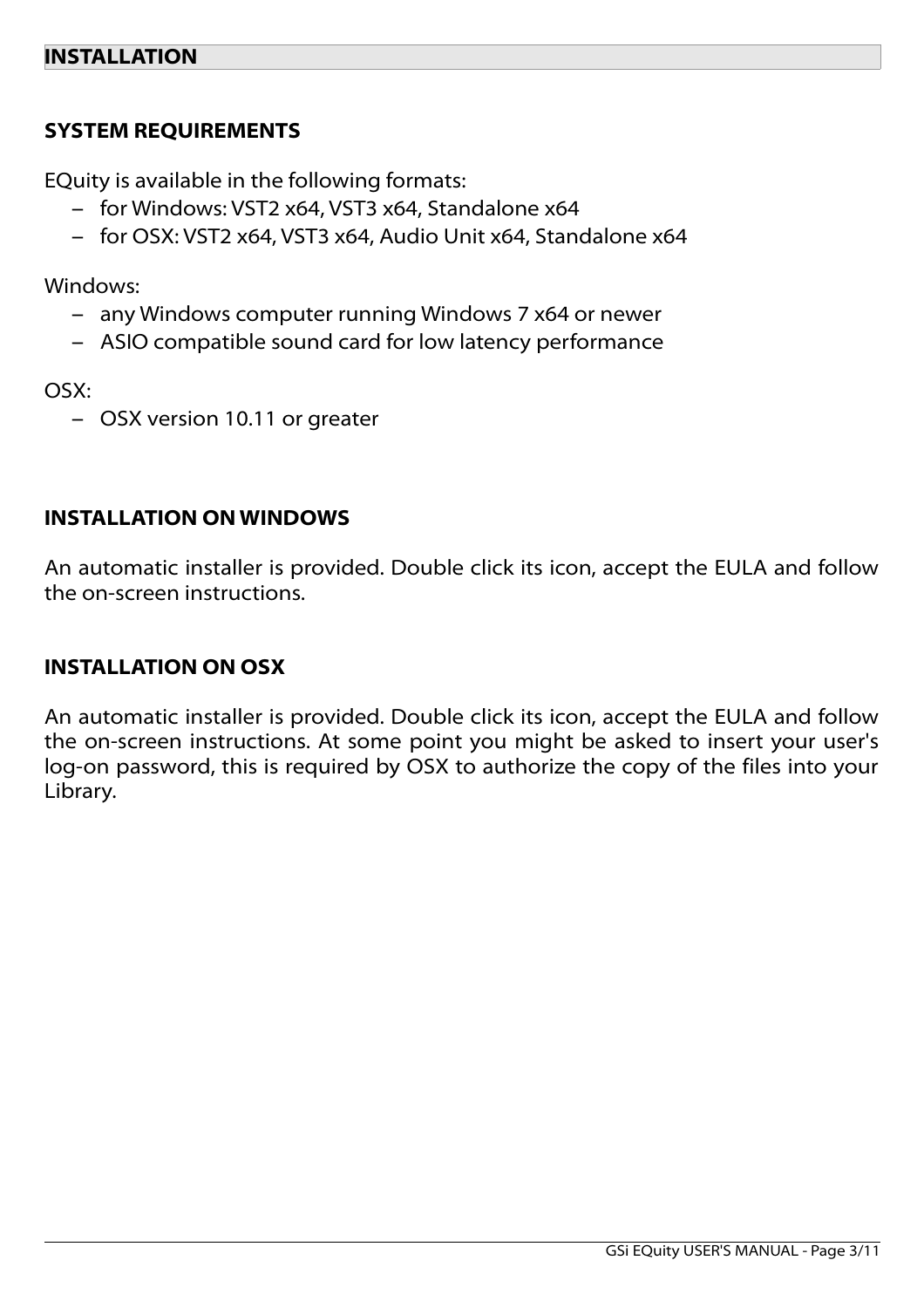## **SYSTEM REQUIREMENTS**

EQuity is available in the following formats:

- for Windows: VST2 x64, VST3 x64, Standalone x64
- for OSX: VST2 x64, VST3 x64, Audio Unit x64, Standalone x64

Windows:

- any Windows computer running Windows 7 x64 or newer
- ASIO compatible sound card for low latency performance

OSX:

– OSX version 10.11 or greater

### **INSTALLATION ON WINDOWS**

An automatic installer is provided. Double click its icon, accept the EULA and follow the on-screen instructions.

### **INSTALLATION ON OSX**

An automatic installer is provided. Double click its icon, accept the EULA and follow the on-screen instructions. At some point you might be asked to insert your user's log-on password, this is required by OSX to authorize the copy of the files into your Library.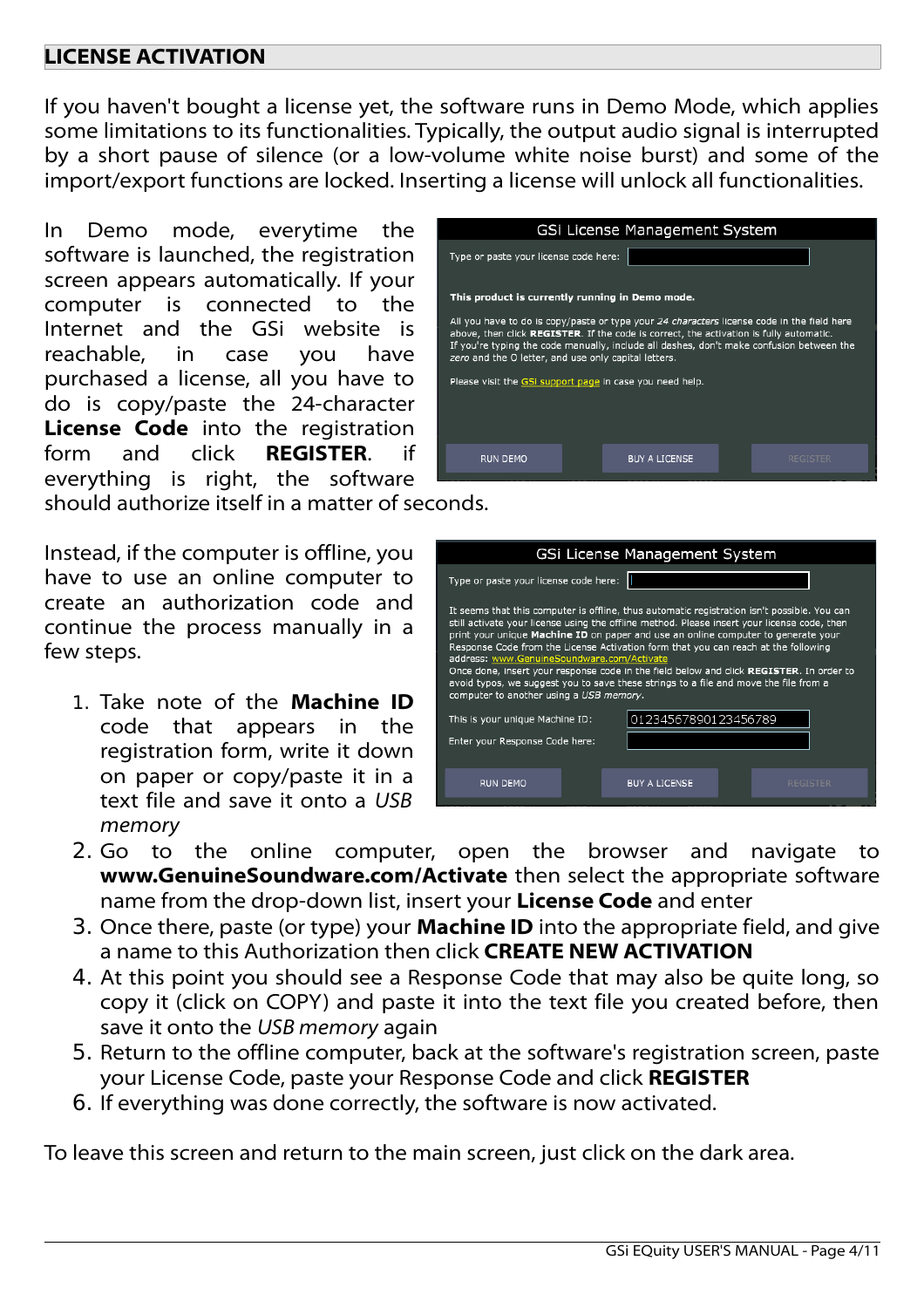## **LICENSE ACTIVATION**

If you haven't bought a license yet, the software runs in Demo Mode, which applies some limitations to its functionalities. Typically, the output audio signal is interrupted by a short pause of silence (or a low-volume white noise burst) and some of the import/export functions are locked. Inserting a license will unlock all functionalities.

In Demo mode, everytime the software is launched, the registration screen appears automatically. If your computer is connected to the Internet and the GSi website is reachable, in case you have purchased a license, all you have to do is copy/paste the 24-character **License Code** into the registration form and click **REGISTER**. if everything is right, the software

should authorize itself in a matter of seconds.

Instead, if the computer is offline, you have to use an online computer to create an authorization code and continue the process manually in a few steps.

1. Take note of the **Machine ID** code that appears in the registration form, write it down on paper or copy/paste it in a text file and save it onto a *USB memory*

| GSi License Management System                                                                                                                                                                                                                                                                                                                                                                        |                      |                 |  |  |
|------------------------------------------------------------------------------------------------------------------------------------------------------------------------------------------------------------------------------------------------------------------------------------------------------------------------------------------------------------------------------------------------------|----------------------|-----------------|--|--|
| Type or paste your license code here:                                                                                                                                                                                                                                                                                                                                                                |                      |                 |  |  |
| This product is currently running in Demo mode.                                                                                                                                                                                                                                                                                                                                                      |                      |                 |  |  |
| All you have to do is copy/paste or type your 24 characters license code in the field here<br>above, then click REGISTER. If the code is correct, the activation is fully automatic.<br>If you're typing the code manually, include all dashes, don't make confusion between the<br>zero and the O letter, and use only capital letters.<br>Please visit the GSi support page in case you need help. |                      |                 |  |  |
|                                                                                                                                                                                                                                                                                                                                                                                                      |                      |                 |  |  |
| RUN DEMO                                                                                                                                                                                                                                                                                                                                                                                             | <b>BUY A LICENSE</b> | <b>REGISTER</b> |  |  |

| GSi License Management System                                                                                                                                                                                                                                                                                                                                                                                                                                                                                                                                                                                                                     |                                         |  |
|---------------------------------------------------------------------------------------------------------------------------------------------------------------------------------------------------------------------------------------------------------------------------------------------------------------------------------------------------------------------------------------------------------------------------------------------------------------------------------------------------------------------------------------------------------------------------------------------------------------------------------------------------|-----------------------------------------|--|
| Type or paste your license code here:                                                                                                                                                                                                                                                                                                                                                                                                                                                                                                                                                                                                             |                                         |  |
| It seems that this computer is offline, thus automatic registration isn't possible. You can<br>still activate your license using the offline method. Please insert your license code, then<br>print your unique Machine ID on paper and use an online computer to generate your<br>Response Code from the License Activation form that you can reach at the following<br>address: www.GenuineSoundware.com/Activate<br>Once done, insert your response code in the field below and click REGISTER. In order to<br>avoid typos, we suggest you to save these strings to a file and move the file from a<br>computer to another using a USB memory. |                                         |  |
| This is your unique Machine ID:                                                                                                                                                                                                                                                                                                                                                                                                                                                                                                                                                                                                                   | 01234567890123456789                    |  |
| Enter your Response Code here:                                                                                                                                                                                                                                                                                                                                                                                                                                                                                                                                                                                                                    |                                         |  |
| <b>RUN DEMO</b>                                                                                                                                                                                                                                                                                                                                                                                                                                                                                                                                                                                                                                   | <b>BUY A LICENSE</b><br><b>REGISTER</b> |  |

- 2. Go to the online computer, open the browser and navigate to **www.GenuineSoundware.com/Activate** then select the appropriate software name from the drop-down list, insert your **License Code** and enter
- 3. Once there, paste (or type) your **Machine ID** into the appropriate field, and give a name to this Authorization then click **CREATE NEW ACTIVATION**
- 4. At this point you should see a Response Code that may also be quite long, so copy it (click on COPY) and paste it into the text file you created before, then save it onto the *USB memory* again
- 5. Return to the offline computer, back at the software's registration screen, paste your License Code, paste your Response Code and click **REGISTER**
- 6. If everything was done correctly, the software is now activated.

To leave this screen and return to the main screen, just click on the dark area.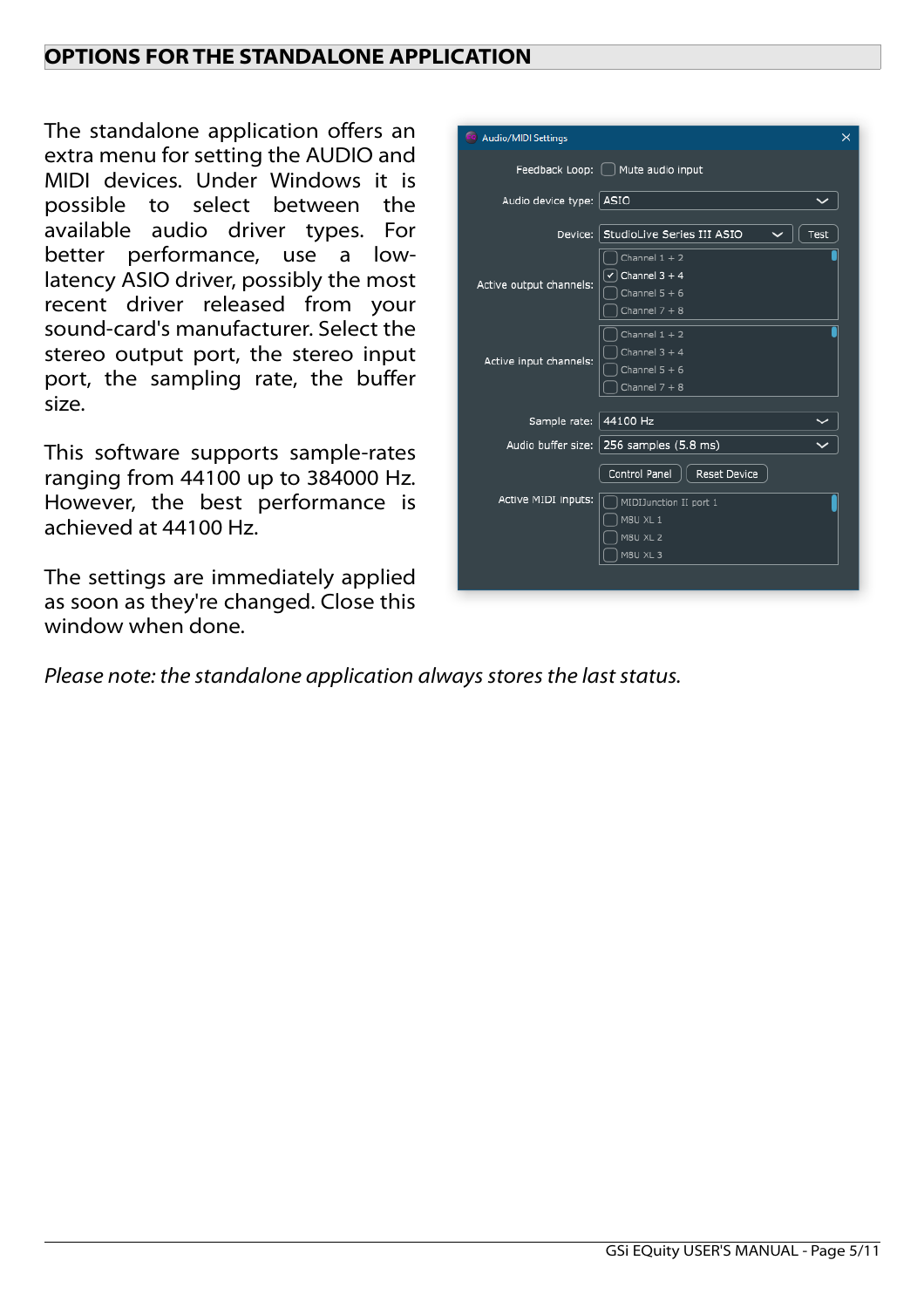## **OPTIONS FOR THE STANDALONE APPLICATION**

The standalone application offers an extra menu for setting the AUDIO and MIDI devices. Under Windows it is possible to select between the available audio driver types. For better performance, use a lowlatency ASIO driver, possibly the most recent driver released from your sound-card's manufacturer. Select the stereo output port, the stereo input port, the sampling rate, the buffer size.

This software supports sample-rates ranging from 44100 up to 384000 Hz. However, the best performance is achieved at 44100 Hz.

The settings are immediately applied as soon as they're changed. Close this window when done.

*Please note: the standalone application always stores the last status.*

| Audio/MIDI Settings       | ×                                                                                                  |
|---------------------------|----------------------------------------------------------------------------------------------------|
|                           | Feedback Loop: [ ] Mute audio input                                                                |
| Audio device type:   ASIO |                                                                                                    |
|                           | Device: StudioLive Series III ASIO<br>Test                                                         |
| Active output channels:   | Channel $1 + 2$<br>Channel $3 + 4$<br>$\checkmark$<br>Channel $5 + 6$<br>Channel $7 + 8$           |
| Active input channels:    | Channel $1 + 2$<br>Channel $3 + 4$<br>Channel $5 + 6$<br>Channel $7 + 8$                           |
| Sample rate: 44100 Hz     |                                                                                                    |
|                           | Audio buffer size:   256 samples (5.8 ms)                                                          |
| Active MIDI inputs:       | Control Panel<br><b>Reset Device</b><br>MIDIJunction II port 1<br>M8U XL 1<br>M8U XL 2<br>M8U XL 3 |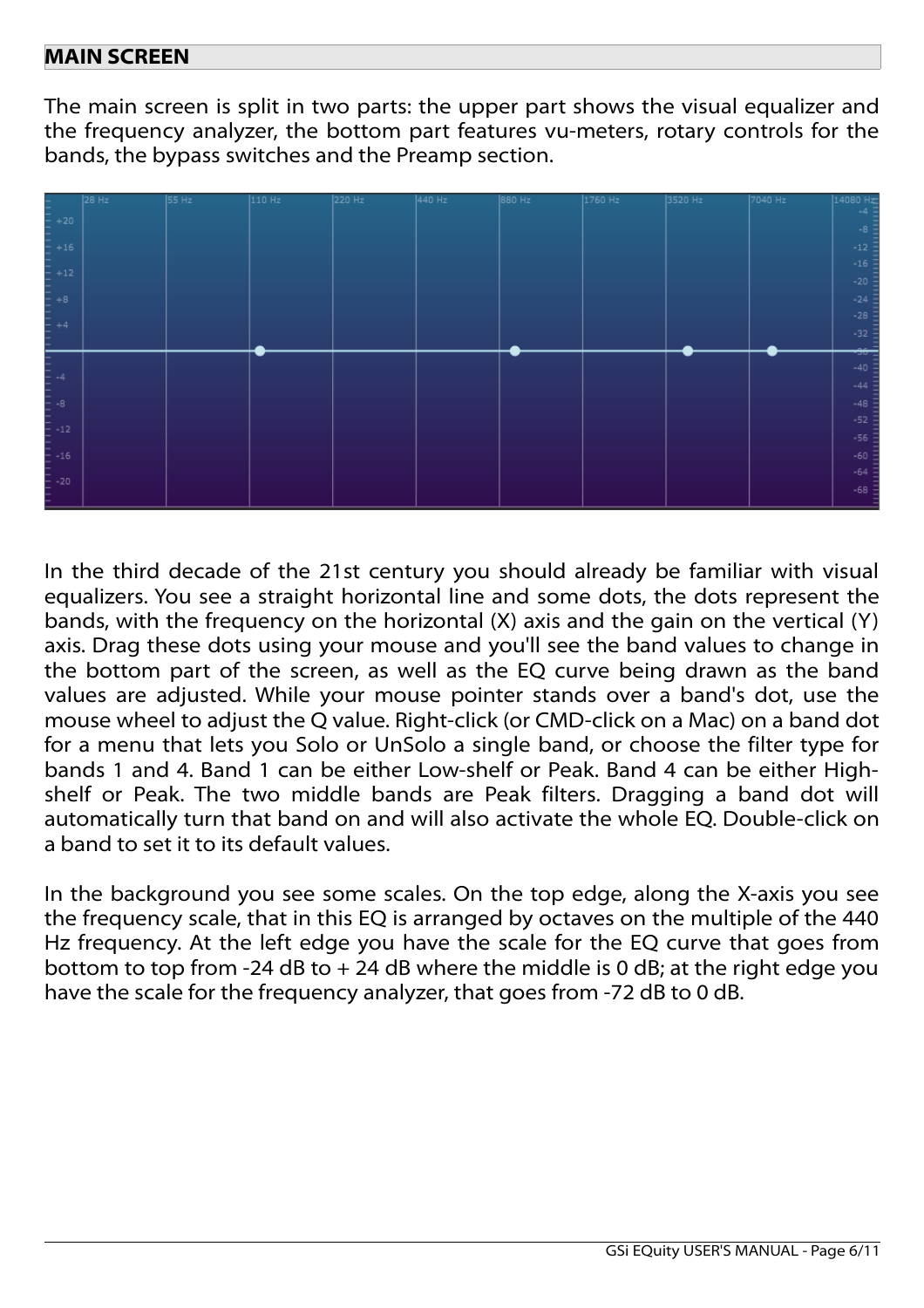## **MAIN SCREEN**

The main screen is split in two parts: the upper part shows the visual equalizer and the frequency analyzer, the bottom part features vu-meters, rotary controls for the bands, the bypass switches and the Preamp section.



In the third decade of the 21st century you should already be familiar with visual equalizers. You see a straight horizontal line and some dots, the dots represent the bands, with the frequency on the horizontal (X) axis and the gain on the vertical (Y) axis. Drag these dots using your mouse and you'll see the band values to change in the bottom part of the screen, as well as the EQ curve being drawn as the band values are adjusted. While your mouse pointer stands over a band's dot, use the mouse wheel to adjust the Q value. Right-click (or CMD-click on a Mac) on a band dot for a menu that lets you Solo or UnSolo a single band, or choose the filter type for bands 1 and 4. Band 1 can be either Low-shelf or Peak. Band 4 can be either Highshelf or Peak. The two middle bands are Peak filters. Dragging a band dot will automatically turn that band on and will also activate the whole EQ. Double-click on a band to set it to its default values.

In the background you see some scales. On the top edge, along the X-axis you see the frequency scale, that in this EQ is arranged by octaves on the multiple of the 440 Hz frequency. At the left edge you have the scale for the EQ curve that goes from bottom to top from -24 dB to  $+$  24 dB where the middle is 0 dB; at the right edge you have the scale for the frequency analyzer, that goes from -72 dB to 0 dB.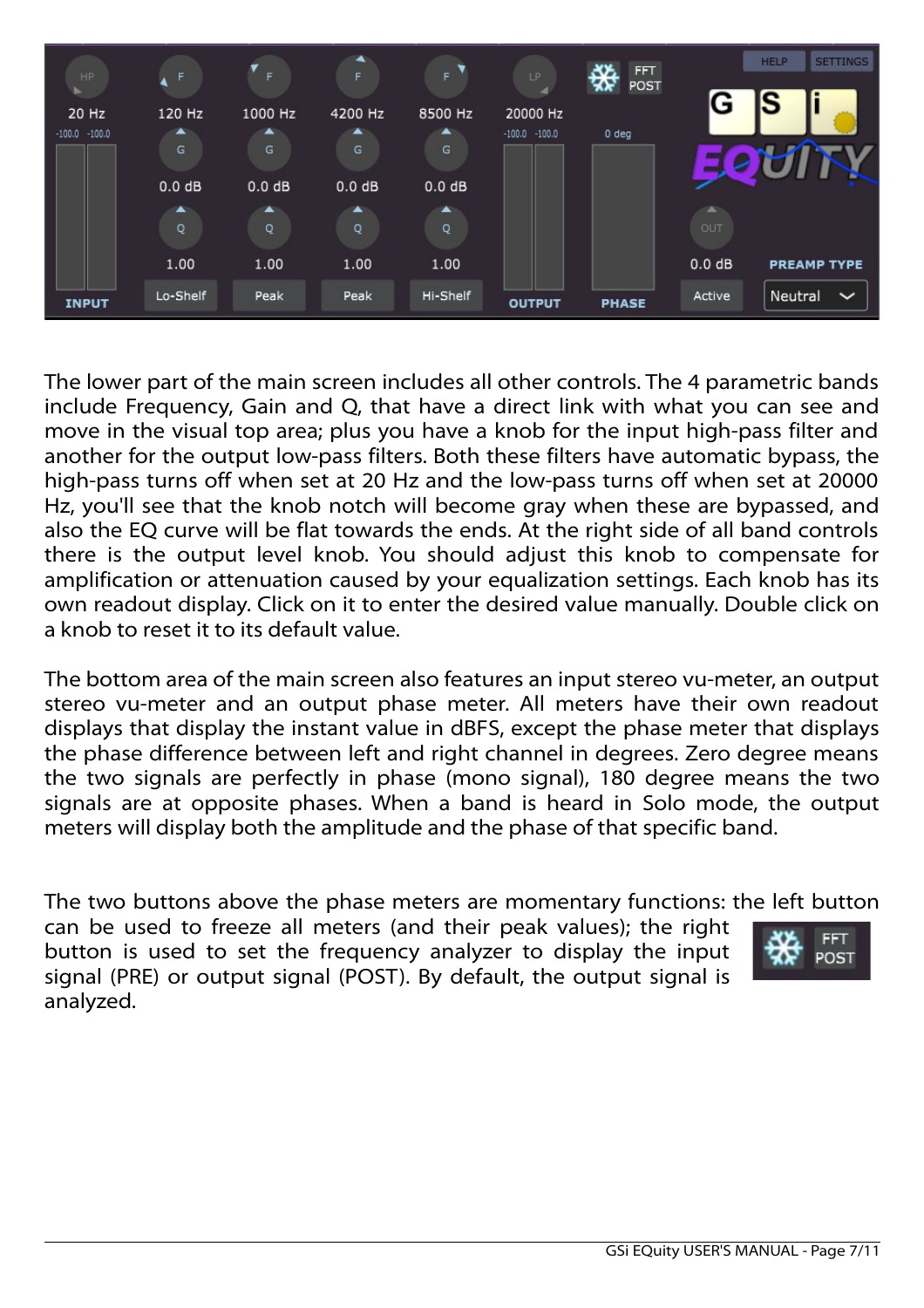| HP.                       | F                          | F            | ᅕ<br>F.                    | F                          | LP.                          | ረኢ<br><b>FFT</b><br>₩<br>POST |           | <b>SETTINGS</b><br><b>HELP</b> |
|---------------------------|----------------------------|--------------|----------------------------|----------------------------|------------------------------|-------------------------------|-----------|--------------------------------|
| 20 Hz<br>$-100.0 - 100.0$ | 120 Hz<br>▲                | 1000 Hz<br>▲ | 4200 Hz<br>▴               | 8500 Hz<br>▴               | 20000 Hz<br>$-100.0 - 100.0$ | $0$ deg                       | G         | IS                             |
|                           | G                          | G            | G                          | G                          |                              |                               |           |                                |
|                           | 0.0 dB<br>$\blacktriangle$ | 0.0 dB<br>▲  | 0.0 dB<br>$\blacktriangle$ | 0.0 dB<br>$\blacktriangle$ |                              |                               | <b>AL</b> |                                |
|                           | Q                          | Q            | Q                          | Q                          |                              |                               | OUT       |                                |
|                           | 1.00                       | 1.00         | 1.00                       | 1.00                       |                              |                               | $0.0$ dB  | <b>PREAMP TYPE</b>             |
| <b>INPUT</b>              | Lo-Shelf                   | Peak         | Peak                       | Hi-Shelf                   | <b>OUTPUT</b>                | <b>PHASE</b>                  | Active    | Neutral<br>$\checkmark$        |

The lower part of the main screen includes all other controls. The 4 parametric bands include Frequency, Gain and Q, that have a direct link with what you can see and move in the visual top area; plus you have a knob for the input high-pass filter and another for the output low-pass filters. Both these filters have automatic bypass, the high-pass turns off when set at 20 Hz and the low-pass turns off when set at 20000 Hz, you'll see that the knob notch will become gray when these are bypassed, and also the EQ curve will be flat towards the ends. At the right side of all band controls there is the output level knob. You should adjust this knob to compensate for amplification or attenuation caused by your equalization settings. Each knob has its own readout display. Click on it to enter the desired value manually. Double click on a knob to reset it to its default value.

The bottom area of the main screen also features an input stereo vu-meter, an output stereo vu-meter and an output phase meter. All meters have their own readout displays that display the instant value in dBFS, except the phase meter that displays the phase difference between left and right channel in degrees. Zero degree means the two signals are perfectly in phase (mono signal), 180 degree means the two signals are at opposite phases. When a band is heard in Solo mode, the output meters will display both the amplitude and the phase of that specific band.

The two buttons above the phase meters are momentary functions: the left button

can be used to freeze all meters (and their peak values); the right button is used to set the frequency analyzer to display the input signal (PRE) or output signal (POST). By default, the output signal is analyzed.

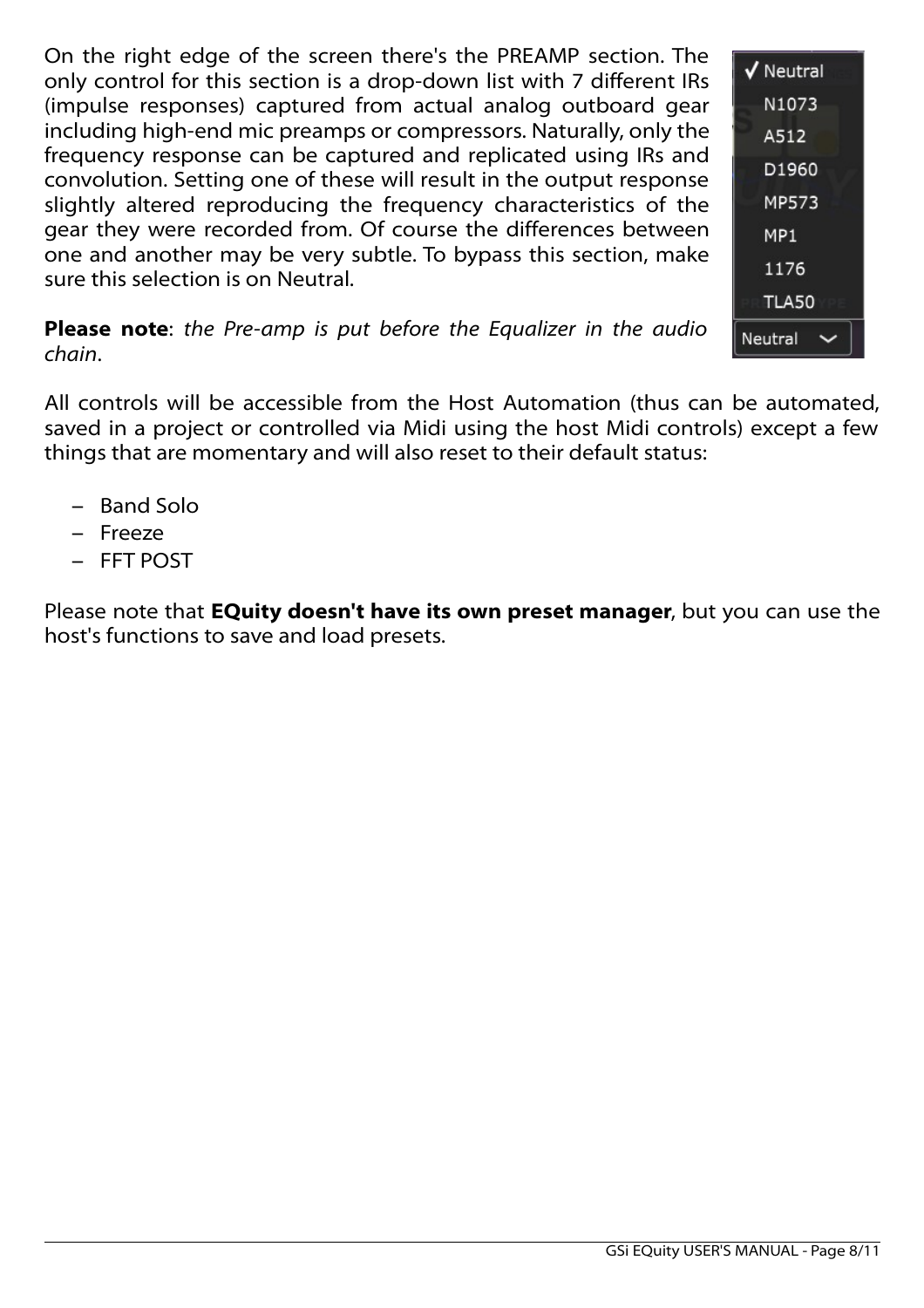On the right edge of the screen there's the PREAMP section. The only control for this section is a drop-down list with 7 different IRs (impulse responses) captured from actual analog outboard gear including high-end mic preamps or compressors. Naturally, only the frequency response can be captured and replicated using IRs and convolution. Setting one of these will result in the output response slightly altered reproducing the frequency characteristics of the gear they were recorded from. Of course the differences between one and another may be very subtle. To bypass this section, make sure this selection is on Neutral.



**Please note**: *the Pre-amp is put before the Equalizer in the audio chain*.

All controls will be accessible from the Host Automation (thus can be automated, saved in a project or controlled via Midi using the host Midi controls) except a few things that are momentary and will also reset to their default status:

- Band Solo
- Freeze
- FFT POST

Please note that **EQuity doesn't have its own preset manager**, but you can use the host's functions to save and load presets.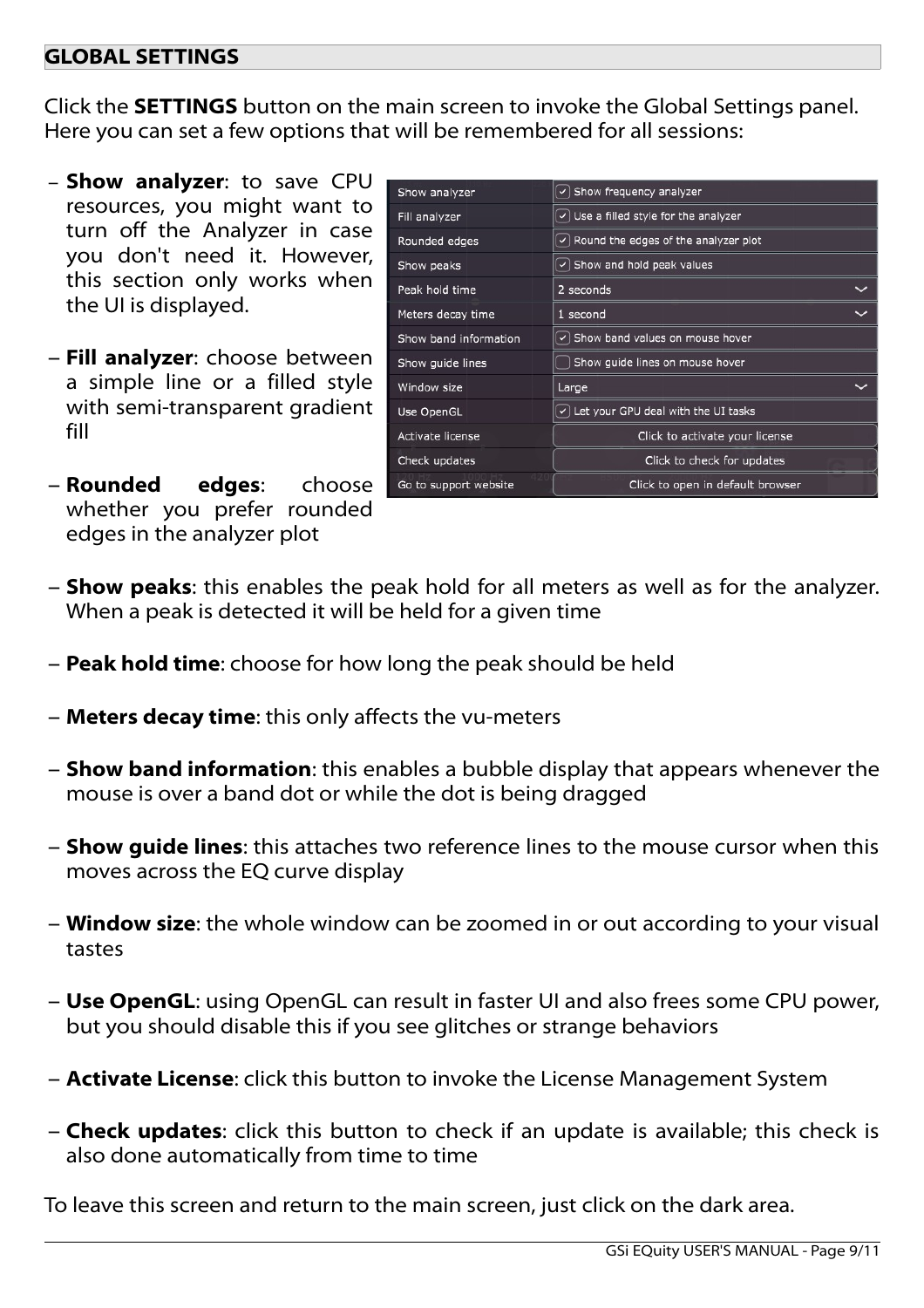### **GLOBAL SETTINGS**

Click the **SETTINGS** button on the main screen to invoke the Global Settings panel. Here you can set a few options that will be remembered for all sessions:

- **Show analyzer**: to save CPU resources, you might want to turn off the Analyzer in case you don't need it. However, this section only works when the UI is displayed.
- **Fill analyzer**: choose between a simple line or a filled style with semi-transparent gradient fill
- **Rounded edges**: choose whether you prefer rounded edges in the analyzer plot

|                       | $\vee$ Show frequency analyzer              |
|-----------------------|---------------------------------------------|
| Show analyzer         |                                             |
| Fill analyzer         | $\vee$ Use a filled style for the analyzer  |
| Rounded edges         | $\vee$ Round the edges of the analyzer plot |
| Show peaks            | $\vee$ Show and hold peak values            |
| Peak hold time        | 2 seconds                                   |
| Meters decay time     | 1 second                                    |
| Show band information | $\vee$ Show band values on mouse hover      |
| Show quide lines      | Show quide lines on mouse hover             |
| Window size           | Large                                       |
| Use OpenGL            | $\vee$ Let your GPU deal with the UI tasks  |
| Activate license      | Click to activate your license              |
| Check updates         | Click to check for updates                  |
| Go to support website | Click to open in default browser            |

- **Show peaks**: this enables the peak hold for all meters as well as for the analyzer. When a peak is detected it will be held for a given time
- **Peak hold time**: choose for how long the peak should be held
- **Meters decay time**: this only affects the vu-meters
- **Show band information**: this enables a bubble display that appears whenever the mouse is over a band dot or while the dot is being dragged
- **Show guide lines**: this attaches two reference lines to the mouse cursor when this moves across the EQ curve display
- **Window size**: the whole window can be zoomed in or out according to your visual tastes
- **Use OpenGL**: using OpenGL can result in faster UI and also frees some CPU power, but you should disable this if you see glitches or strange behaviors
- **Activate License**: click this button to invoke the License Management System
- **Check updates**: click this button to check if an update is available; this check is also done automatically from time to time

To leave this screen and return to the main screen, just click on the dark area.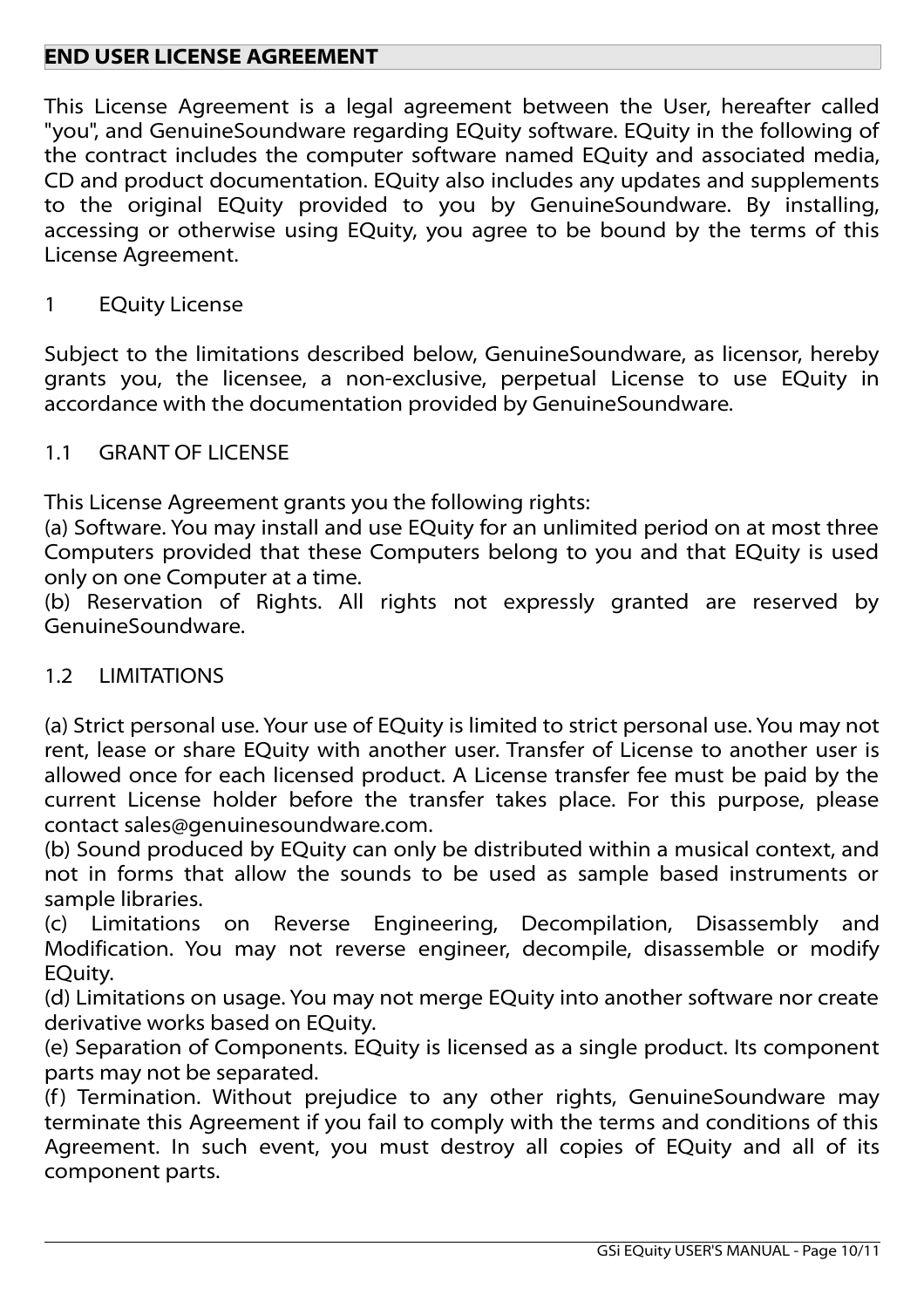## **END USER LICENSE AGREEMENT**

This License Agreement is a legal agreement between the User, hereafter called "you", and GenuineSoundware regarding EQuity software. EQuity in the following of the contract includes the computer software named EQuity and associated media, CD and product documentation. EQuity also includes any updates and supplements to the original EQuity provided to you by GenuineSoundware. By installing, accessing or otherwise using EQuity, you agree to be bound by the terms of this License Agreement.

### 1 EQuity License

Subject to the limitations described below, GenuineSoundware, as licensor, hereby grants you, the licensee, a non-exclusive, perpetual License to use EQuity in accordance with the documentation provided by GenuineSoundware.

#### 1.1 GRANT OF LICENSE

This License Agreement grants you the following rights:

(a) Software. You may install and use EQuity for an unlimited period on at most three Computers provided that these Computers belong to you and that EQuity is used only on one Computer at a time.

(b) Reservation of Rights. All rights not expressly granted are reserved by GenuineSoundware.

### 1.2 LIMITATIONS

(a) Strict personal use. Your use of EQuity is limited to strict personal use. You may not rent, lease or share EQuity with another user. Transfer of License to another user is allowed once for each licensed product. A License transfer fee must be paid by the current License holder before the transfer takes place. For this purpose, please contact sales@genuinesoundware.com.

(b) Sound produced by EQuity can only be distributed within a musical context, and not in forms that allow the sounds to be used as sample based instruments or sample libraries.

(c) Limitations on Reverse Engineering, Decompilation, Disassembly and Modification. You may not reverse engineer, decompile, disassemble or modify EQuity.

(d) Limitations on usage. You may not merge EQuity into another software nor create derivative works based on EQuity.

(e) Separation of Components. EQuity is licensed as a single product. Its component parts may not be separated.

(f) Termination. Without prejudice to any other rights, GenuineSoundware may terminate this Agreement if you fail to comply with the terms and conditions of this Agreement. In such event, you must destroy all copies of EQuity and all of its component parts.